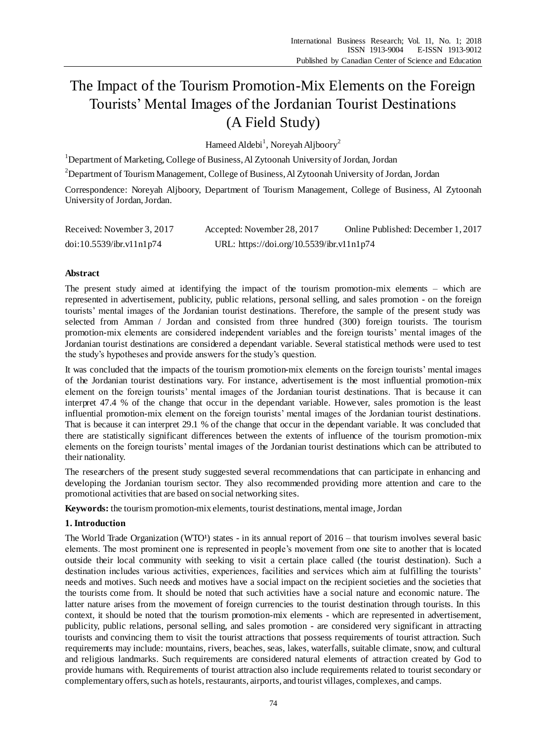# The Impact of the Tourism Promotion-Mix Elements on the Foreign Tourists' Mental Images of the Jordanian Tourist Destinations (A Field Study)

Hameed Aldebi<sup>1</sup>, Noreyah Aljboory<sup>2</sup>

<sup>1</sup>Department of Marketing, College of Business, Al Zytoonah University of Jordan, Jordan

<sup>2</sup>Department of Tourism Management, College of Business, Al Zytoonah University of Jordan, Jordan

Correspondence: Noreyah Aljboory, Department of Tourism Management, College of Business, Al Zytoonah University of Jordan, Jordan.

| Received: November 3, 2017 | Accepted: November 28, 2017               | Online Published: December 1, 2017 |
|----------------------------|-------------------------------------------|------------------------------------|
| doi:10.5539/ibr.v11nlp74   | URL: https://doi.org/10.5539/ibr.v11n1p74 |                                    |

# **Abstract**

The present study aimed at identifying the impact of the tourism promotion-mix elements – which are represented in advertisement, publicity, public relations, personal selling, and sales promotion - on the foreign tourists' mental images of the Jordanian tourist destinations. Therefore, the sample of the present study was selected from Amman / Jordan and consisted from three hundred (300) foreign tourists. The tourism promotion-mix elements are considered independent variables and the foreign tourists' mental images of the Jordanian tourist destinations are considered a dependant variable. Several statistical methods were used to test the study's hypotheses and provide answers for the study's question.

It was concluded that the impacts of the tourism promotion-mix elements on the foreign tourists' mental images of the Jordanian tourist destinations vary. For instance, advertisement is the most influential promotion-mix element on the foreign tourists' mental images of the Jordanian tourist destinations. That is because it can interpret 47.4 % of the change that occur in the dependant variable. However, sales promotion is the least influential promotion-mix element on the foreign tourists' mental images of the Jordanian tourist destinations. That is because it can interpret 29.1 % of the change that occur in the dependant variable. It was concluded that there are statistically significant differences between the extents of influence of the tourism promotion-mix elements on the foreign tourists' mental images of the Jordanian tourist destinations which can be attributed to their nationality.

The researchers of the present study suggested several recommendations that can participate in enhancing and developing the Jordanian tourism sector. They also recommended providing more attention and care to the promotional activities that are based on social networking sites.

**Keywords:** the tourism promotion-mix elements, tourist destinations, mental image, Jordan

# **1. Introduction**

The World Trade Organization (WTO  $\frac{1}{2}$  states - in its annual report of 2016 – that tourism involves several basic elements. The most prominent one is represented in people's movement from one site to another that is located outside their local community with seeking to visit a certain place called (the tourist destination). Such a destination includes various activities, experiences, facilities and services which aim at fulfilling the tourists' needs and motives. Such needs and motives have a social impact on the recipient societies and the societies that the tourists come from. It should be noted that such activities have a social nature and economic nature. The latter nature arises from the movement of foreign currencies to the tourist destination through tourists. In this context, it should be noted that the tourism promotion-mix elements - which are represented in advertisement, publicity, public relations, personal selling, and sales promotion - are considered very significant in attracting tourists and convincing them to visit the tourist attractions that possess requirements of tourist attraction. Such requirements may include: mountains, rivers, beaches, seas, lakes, waterfalls, suitable climate, snow, and cultural and religious landmarks. Such requirements are considered natural elements of attraction created by God to provide humans with. Requirements of tourist attraction also include requirements related to tourist secondary or complementary offers, such as hotels, restaurants, airports, and tourist villages, complexes, and camps.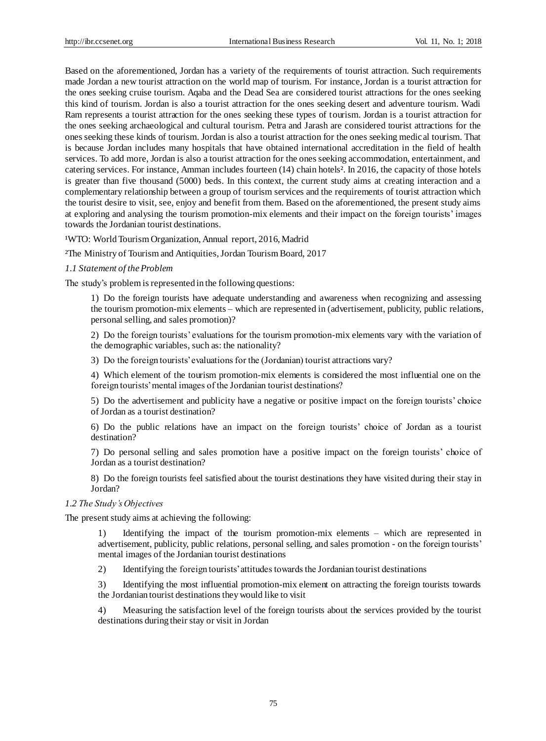Based on the aforementioned, Jordan has a variety of the requirements of tourist attraction. Such requirements made Jordan a new tourist attraction on the world map of tourism. For instance, Jordan is a tourist attraction for the ones seeking cruise tourism. Aqaba and the Dead Sea are considered tourist attractions for the ones seeking this kind of tourism. Jordan is also a tourist attraction for the ones seeking desert and adventure tourism. Wadi Ram represents a tourist attraction for the ones seeking these types of tourism. Jordan is a tourist attraction for the ones seeking archaeological and cultural tourism. Petra and Jarash are considered tourist attractions for the ones seeking these kinds of tourism. Jordan is also a tourist attraction for the ones seeking medical tourism. That is because Jordan includes many hospitals that have obtained international accreditation in the field of health services. To add more, Jordan is also a tourist attraction for the ones seeking accommodation, entertainment, and catering services. For instance, Amman includes fourteen (14) chain hotels  $\frac{2 \text{ In } 2016$ , the capacity of those hotels is greater than five thousand (5000) beds. In this context, the current study aims at creating interaction and a complementary relationship between a group of tourism services and the requirements of tourist attraction which the tourist desire to visit, see, enjoy and benefit from them. Based on the aforementioned, the present study aims at exploring and analysing the tourism promotion-mix elements and their impact on the foreign tourists' images towards the Jordanian tourist destinations.

WTO: World Tourism Organization, Annual report, 2016, Madrid

²The Ministry of Tourism and Antiquities, Jordan Tourism Board, 2017

#### *1.1 Statement of the Problem*

The study's problem is represented in the following questions:

1) Do the foreign tourists have adequate understanding and awareness when recognizing and assessing the tourism promotion-mix elements – which are represented in (advertisement, publicity, public relations, personal selling, and sales promotion)?

2) Do the foreign tourists' evaluations for the tourism promotion-mix elements vary with the variation of the demographic variables, such as: the nationality?

3) Do the foreign tourists' evaluations for the (Jordanian) tourist attractions vary?

4) Which element of the tourism promotion-mix elements is considered the most influential one on the foreign tourists' mental images of the Jordanian tourist destinations?

5) Do the advertisement and publicity have a negative or positive impact on the foreign tourists' choice of Jordan as a tourist destination?

6) Do the public relations have an impact on the foreign tourists' choice of Jordan as a tourist destination?

7) Do personal selling and sales promotion have a positive impact on the foreign tourists' choice of Jordan as a tourist destination?

8) Do the foreign tourists feel satisfied about the tourist destinations they have visited during their stay in Jordan?

#### *1.2 The Study's Objectives*

The present study aims at achieving the following:

1) Identifying the impact of the tourism promotion-mix elements – which are represented in advertisement, publicity, public relations, personal selling, and sales promotion - on the foreign tourists' mental images of the Jordanian tourist destinations

2) Identifying the foreign tourists' attitudes towards the Jordanian tourist destinations

3) Identifying the most influential promotion-mix element on attracting the foreign tourists towards the Jordanian tourist destinations they would like to visit

4) Measuring the satisfaction level of the foreign tourists about the services provided by the tourist destinations during their stay or visit in Jordan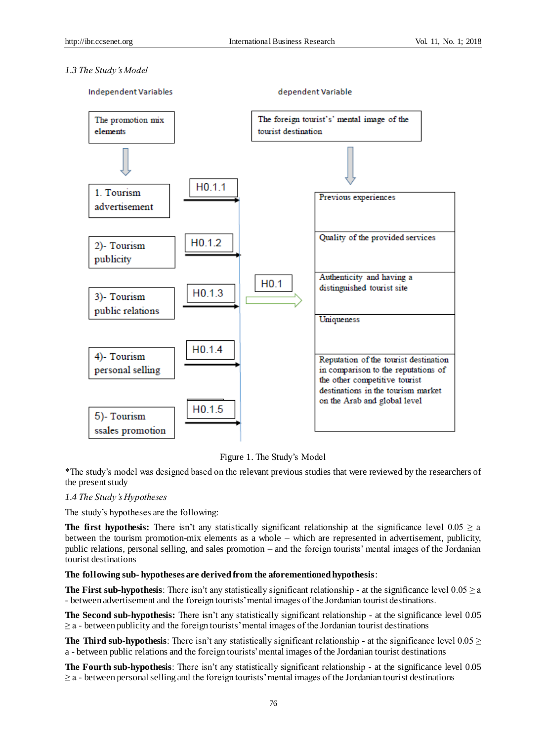# *1.3 The Study's Model*



Figure 1. The Study's Model

\*The study's model was designed based on the relevant previous studies that were reviewed by the researchers of the present study

# *1.4 The Study's Hypotheses*

The study's hypotheses are the following:

**The first hypothesis:** There isn't any statistically significant relationship at the significance level  $0.05 \ge a$ between the tourism promotion-mix elements as a whole – which are represented in advertisement, publicity, public relations, personal selling, and sales promotion – and the foreign tourists' mental images of the Jordanian tourist destinations

# **The following sub- hypotheses are derived from the aforementioned hypothesis**:

**The First sub-hypothesis**: There isn't any statistically significant relationship - at the significance level  $0.05 \ge a$ - between advertisement and the foreign tourists' mental images of the Jordanian tourist destinations.

**The Second sub-hypothesis:** There isn't any statistically significant relationship - at the significance level 0.05  $\geq$  a - between publicity and the foreign tourists' mental images of the Jordanian tourist destinations

**The Third sub-hypothesis**: There isn't any statistically significant relationship - at the significance level  $0.05 \ge$ a - between public relations and the foreign tourists' mental images of the Jordanian tourist destinations

**The Fourth sub-hypothesis**: There isn't any statistically significant relationship - at the significance level 0.05  $\geq$  a - between personal selling and the foreign tourists' mental images of the Jordanian tourist destinations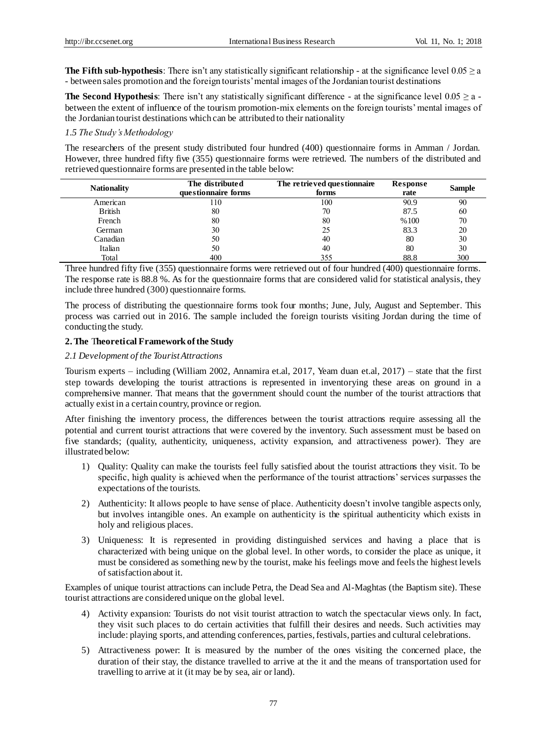**The Fifth sub-hypothesis**: There isn't any statistically significant relationship - at the significance level  $0.05 \ge a$ - between sales promotion and the foreign tourists' mental images of the Jordanian tourist destinations

**The Second Hypothesis**: There isn't any statistically significant difference - at the significance level  $0.05 \ge a$  between the extent of influence of the tourism promotion-mix elements on the foreign tourists' mental images of the Jordanian tourist destinations which can be attributed to their nationality

# *1.5 The Study's Methodology*

The researchers of the present study distributed four hundred (400) questionnaire forms in Amman / Jordan. However, three hundred fifty five (355) questionnaire forms were retrieved. The numbers of the distributed and retrieved questionnaire forms are presented in the table below:

| <b>Nationality</b> | The distributed<br>questionnaire forms | The retrieved questionnaire<br>forms | Response<br>rate | <b>Sample</b> |
|--------------------|----------------------------------------|--------------------------------------|------------------|---------------|
| American           | 110                                    | 100                                  | 90.9             | 90            |
| <b>British</b>     | 80                                     | 70                                   | 87.5             | 60            |
| French             | 80                                     | 80                                   | %100             | 70            |
| German             | 30                                     | 25                                   | 83.3             | 20            |
| Canadian           | 50                                     | 40                                   | 80               | 30            |
| Italian            | 50                                     | 40                                   | 80               | 30            |
| Total              | 400                                    | 355                                  | 88.8             | 300           |

Three hundred fifty five (355) questionnaire forms were retrieved out of four hundred (400) questionnaire forms. The response rate is 88.8 %. As for the questionnaire forms that are considered valid for statistical analysis, they include three hundred (300) questionnaire forms.

The process of distributing the questionnaire forms took four months; June, July, August and September. This process was carried out in 2016. The sample included the foreign tourists visiting Jordan during the time of conducting the study.

# **2. The** T**heoretical Framework of the Study**

#### *2.1 Development of the Tourist Attractions*

Tourism experts – including (William 2002, Annamira et.al, 2017, Yeam duan et.al, 2017) – state that the first step towards developing the tourist attractions is represented in inventorying these areas on ground in a comprehensive manner. That means that the government should count the number of the tourist attractions that actually exist in a certain country, province or region.

After finishing the inventory process, the differences between the tourist attractions require assessing all the potential and current tourist attractions that were covered by the inventory. Such assessment must be based on five standards; (quality, authenticity, uniqueness, activity expansion, and attractiveness power). They are illustrated below:

- 1) Quality: Quality can make the tourists feel fully satisfied about the tourist attractions they visit. To be specific, high quality is achieved when the performance of the tourist attractions' services surpasses the expectations of the tourists.
- 2) Authenticity: It allows people to have sense of place. Authenticity doesn't involve tangible aspects only, but involves intangible ones. An example on authenticity is the spiritual authenticity which exists in holy and religious places.
- 3) Uniqueness: It is represented in providing distinguished services and having a place that is characterized with being unique on the global level. In other words, to consider the place as unique, it must be considered as something new by the tourist, make his feelings move and feels the highest levels of satisfaction about it.

Examples of unique tourist attractions can include Petra, the Dead Sea and Al-Maghtas (the Baptism site). These tourist attractions are considered unique on the global level.

- 4) Activity expansion: Tourists do not visit tourist attraction to watch the spectacular views only. In fact, they visit such places to do certain activities that fulfill their desires and needs. Such activities may include: playing sports, and attending conferences, parties, festivals, parties and cultural celebrations.
- 5) Attractiveness power: It is measured by the number of the ones visiting the concerned place, the duration of their stay, the distance travelled to arrive at the it and the means of transportation used for travelling to arrive at it (it may be by sea, air or land).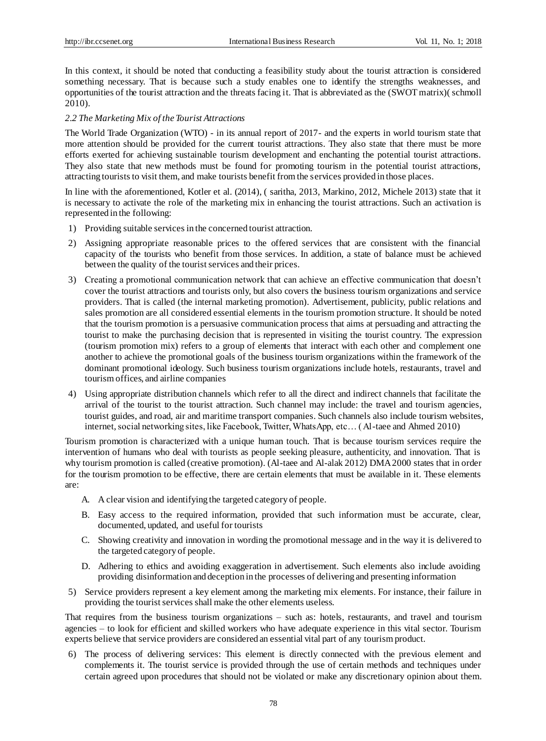In this context, it should be noted that conducting a feasibility study about the tourist attraction is considered something necessary. That is because such a study enables one to identify the strengths weaknesses, and opportunities of the tourist attraction and the threats facing it. That is abbreviated as the (SWOT matrix)( schmoll 2010).

#### *2.2 The Marketing Mix of the Tourist Attractions*

The World Trade Organization (WTO) - in its annual report of 2017- and the experts in world tourism state that more attention should be provided for the current tourist attractions. They also state that there must be more efforts exerted for achieving sustainable tourism development and enchanting the potential tourist attractions. They also state that new methods must be found for promoting tourism in the potential tourist attractions, attracting tourists to visit them, and make tourists benefit from the services provided in those places.

In line with the aforementioned, Kotler et al. (2014), ( saritha, 2013, Markino, 2012, Michele 2013) state that it is necessary to activate the role of the marketing mix in enhancing the tourist attractions. Such an activation is represented in the following:

- 1) Providing suitable services in the concerned tourist attraction.
- 2) Assigning appropriate reasonable prices to the offered services that are consistent with the financial capacity of the tourists who benefit from those services. In addition, a state of balance must be achieved between the quality of the tourist services and their prices.
- 3) Creating a promotional communication network that can achieve an effective communication that doesn't cover the tourist attractions and tourists only, but also covers the business tourism organizations and service providers. That is called (the internal marketing promotion). Advertisement, publicity, public relations and sales promotion are all considered essential elements in the tourism promotion structure. It should be noted that the tourism promotion is a persuasive communication process that aims at persuading and attracting the tourist to make the purchasing decision that is represented in visiting the tourist country. The expression (tourism promotion mix) refers to a group of elements that interact with each other and complement one another to achieve the promotional goals of the business tourism organizations within the framework of the dominant promotional ideology. Such business tourism organizations include hotels, restaurants, travel and tourism offices, and airline companies
- 4) Using appropriate distribution channels which refer to all the direct and indirect channels that facilitate the arrival of the tourist to the tourist attraction. Such channel may include: the travel and tourism agencies, tourist guides, and road, air and maritime transport companies. Such channels also include tourism websites, internet, social networking sites, like Facebook, Twitter, WhatsApp, etc… ( Al-taee and Ahmed 2010)

Tourism promotion is characterized with a unique human touch. That is because tourism services require the intervention of humans who deal with tourists as people seeking pleasure, authenticity, and innovation. That is why tourism promotion is called (creative promotion). (Al-taee and Al-alak 2012) DMA 2000 states that in order for the tourism promotion to be effective, there are certain elements that must be available in it. These elements are:

- A. A clear vision and identifying the targeted category of people.
- B. Easy access to the required information, provided that such information must be accurate, clear, documented, updated, and useful for tourists
- C. Showing creativity and innovation in wording the promotional message and in the way it is delivered to the targeted category of people.
- D. Adhering to ethics and avoiding exaggeration in advertisement. Such elements also include avoiding providing disinformation and deception in the processes of delivering and presenting information
- 5) Service providers represent a key element among the marketing mix elements. For instance, their failure in providing the tourist services shall make the other elements useless.

That requires from the business tourism organizations – such as: hotels, restaurants, and travel and tourism agencies – to look for efficient and skilled workers who have adequate experience in this vital sector. Tourism experts believe that service providers are considered an essential vital part of any tourism product.

6) The process of delivering services: This element is directly connected with the previous element and complements it. The tourist service is provided through the use of certain methods and techniques under certain agreed upon procedures that should not be violated or make any discretionary opinion about them.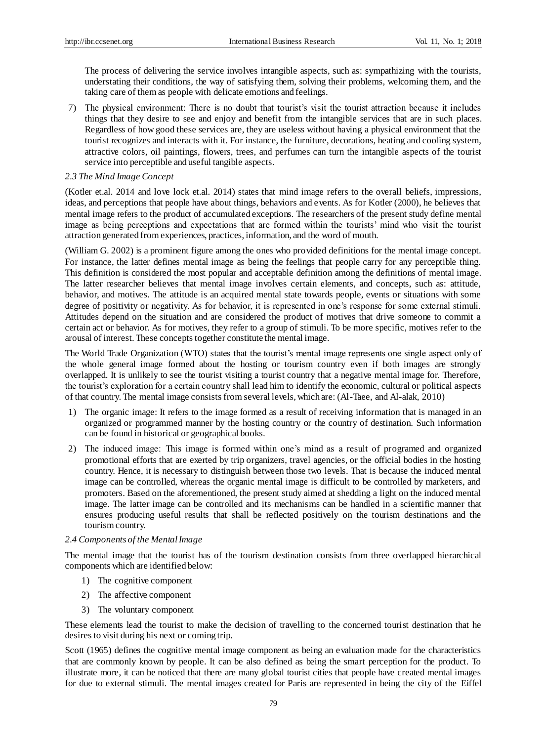The process of delivering the service involves intangible aspects, such as: sympathizing with the tourists, understating their conditions, the way of satisfying them, solving their problems, welcoming them, and the taking care of them as people with delicate emotions and feelings.

7) The physical environment: There is no doubt that tourist's visit the tourist attraction because it includes things that they desire to see and enjoy and benefit from the intangible services that are in such places. Regardless of how good these services are, they are useless without having a physical environment that the tourist recognizes and interacts with it. For instance, the furniture, decorations, heating and cooling system, attractive colors, oil paintings, flowers, trees, and perfumes can turn the intangible aspects of the tourist service into perceptible and useful tangible aspects.

#### *2.3 The Mind Image Concept*

(Kotler et.al. 2014 and love lock et.al. 2014) states that mind image refers to the overall beliefs, impressions, ideas, and perceptions that people have about things, behaviors and events. As for Kotler (2000), he believes that mental image refers to the product of accumulated exceptions. The researchers of the present study define mental image as being perceptions and expectations that are formed within the tourists' mind who visit the tourist attraction generated from experiences, practices, information, and the word of mouth.

(William G. 2002) is a prominent figure among the ones who provided definitions for the mental image concept. For instance, the latter defines mental image as being the feelings that people carry for any perceptible thing. This definition is considered the most popular and acceptable definition among the definitions of mental image. The latter researcher believes that mental image involves certain elements, and concepts, such as: attitude, behavior, and motives. The attitude is an acquired mental state towards people, events or situations with some degree of positivity or negativity. As for behavior, it is represented in one's response for some external stimuli. Attitudes depend on the situation and are considered the product of motives that drive someone to commit a certain act or behavior. As for motives, they refer to a group of stimuli. To be more specific, motives refer to the arousal of interest. These concepts together constitute the mental image.

The World Trade Organization (WTO) states that the tourist's mental image represents one single aspect only of the whole general image formed about the hosting or tourism country even if both images are strongly overlapped. It is unlikely to see the tourist visiting a tourist country that a negative mental image for. Therefore, the tourist's exploration for a certain country shall lead him to identify the economic, cultural or political aspects of that country. The mental image consists from several levels, which are: (Al-Taee, and Al-alak, 2010)

- 1) The organic image: It refers to the image formed as a result of receiving information that is managed in an organized or programmed manner by the hosting country or the country of destination. Such information can be found in historical or geographical books.
- 2) The induced image: This image is formed within one's mind as a result of programed and organized promotional efforts that are exerted by trip organizers, travel agencies, or the official bodies in the hosting country. Hence, it is necessary to distinguish between those two levels. That is because the induced mental image can be controlled, whereas the organic mental image is difficult to be controlled by marketers, and promoters. Based on the aforementioned, the present study aimed at shedding a light on the induced mental image. The latter image can be controlled and its mechanisms can be handled in a scientific manner that ensures producing useful results that shall be reflected positively on the tourism destinations and the tourism country.

#### *2.4 Components of the Mental Image*

The mental image that the tourist has of the tourism destination consists from three overlapped hierarchical components which are identified below:

- 1) The cognitive component
- 2) The affective component
- 3) The voluntary component

These elements lead the tourist to make the decision of travelling to the concerned tourist destination that he desires to visit during his next or coming trip.

Scott (1965) defines the cognitive mental image component as being an evaluation made for the characteristics that are commonly known by people. It can be also defined as being the smart perception for the product. To illustrate more, it can be noticed that there are many global tourist cities that people have created mental images for due to external stimuli. The mental images created for Paris are represented in being the city of the Eiffel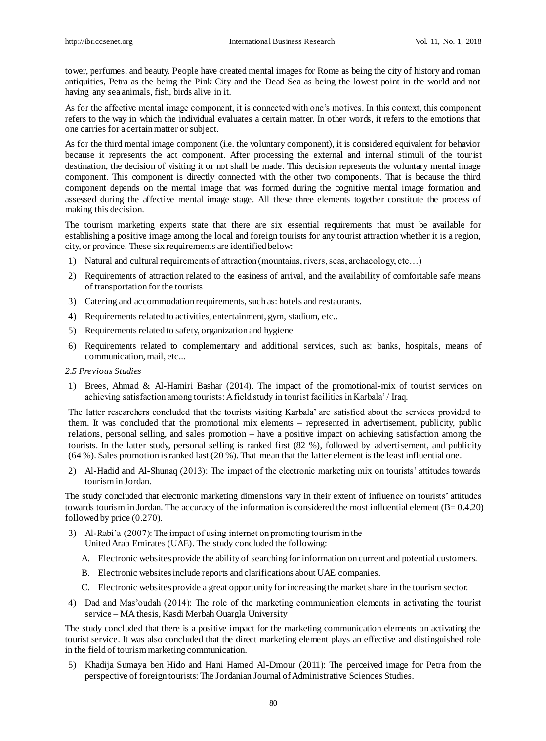tower, perfumes, and beauty. People have created mental images for Rome as being the city of history and roman antiquities, Petra as the being the Pink City and the Dead Sea as being the lowest point in the world and not having any sea animals, fish, birds alive in it.

As for the affective mental image component, it is connected with one's motives. In this context, this component refers to the way in which the individual evaluates a certain matter. In other words, it refers to the emotions that one carries for a certain matter or subject.

As for the third mental image component (i.e. the voluntary component), it is considered equivalent for behavior because it represents the act component. After processing the external and internal stimuli of the tourist destination, the decision of visiting it or not shall be made. This decision represents the voluntary mental image component. This component is directly connected with the other two components. That is because the third component depends on the mental image that was formed during the cognitive mental image formation and assessed during the affective mental image stage. All these three elements together constitute the process of making this decision.

The tourism marketing experts state that there are six essential requirements that must be available for establishing a positive image among the local and foreign tourists for any tourist attraction whether it is a region, city, or province. These six requirements are identified below:

- 1) Natural and cultural requirements of attraction (mountains, rivers, seas, archaeology, etc…)
- 2) Requirements of attraction related to the easiness of arrival, and the availability of comfortable safe means of transportation for the tourists
- 3) Catering and accommodation requirements, such as: hotels and restaurants.
- 4) Requirements related to activities, entertainment, gym, stadium, etc..
- 5) Requirements related to safety, organization and hygiene
- 6) Requirements related to complementary and additional services, such as: banks, hospitals, means of communication, mail, etc...
- *2.5 Previous Studies*
- 1) Brees, Ahmad & Al-Hamiri Bashar (2014). The impact of the promotional-mix of tourist services on achieving satisfaction among tourists: A field study in tourist facilities in Karbala' / Iraq.

The latter researchers concluded that the tourists visiting Karbala' are satisfied about the services provided to them. It was concluded that the promotional mix elements – represented in advertisement, publicity, public relations, personal selling, and sales promotion – have a positive impact on achieving satisfaction among the tourists. In the latter study, personal selling is ranked first (82 %), followed by advertisement, and publicity (64 %). Sales promotion is ranked last (20 %). That mean that the latter element is the least influential one.

2) Al-Hadid and Al-Shunaq (2013): The impact of the electronic marketing mix on tourists' attitudes towards tourism in Jordan.

The study concluded that electronic marketing dimensions vary in their extent of influence on tourists' attitudes towards tourism in Jordan. The accuracy of the information is considered the most influential element  $(B= 0.4.20)$ followed by price (0.270).

- 3) Al-Rabi'a (2007): The impact of using internet on promoting tourism in the United Arab Emirates (UAE). The study concluded the following:
	- A. Electronic websites provide the ability of searching for information on current and potential customers.
	- B. Electronic websites include reports and clarifications about UAE companies.
	- C. Electronic websites provide a great opportunity for increasing the market share in the tourism sector.
- 4) Dad and Mas'oudah (2014): The role of the marketing communication elements in activating the tourist service – MA thesis, Kasdi Merbah Ouargla University

The study concluded that there is a positive impact for the marketing communication elements on activating the tourist service. It was also concluded that the direct marketing element plays an effective and distinguished role in the field of tourism marketing communication.

5) Khadija Sumaya ben Hido and Hani Hamed Al-Dmour (2011): The perceived image for Petra from the perspective of foreign tourists: The Jordanian Journal of Administrative Sciences Studies.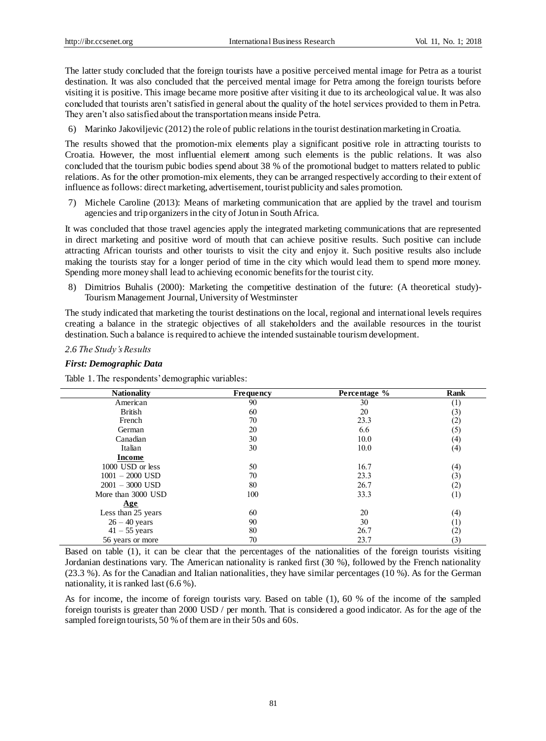The latter study concluded that the foreign tourists have a positive perceived mental image for Petra as a tourist destination. It was also concluded that the perceived mental image for Petra among the foreign tourists before visiting it is positive. This image became more positive after visiting it due to its archeological value. It was also concluded that tourists aren't satisfied in general about the quality of the hotel services provided to them in Petra. They aren't also satisfied about the transportation means inside Petra.

6) Marinko Jakoviljevic (2012) the role of public relations in the tourist destination marketing in Croatia.

The results showed that the promotion-mix elements play a significant positive role in attracting tourists to Croatia. However, the most influential element among such elements is the public relations. It was also concluded that the tourism pubic bodies spend about 38 % of the promotional budget to matters related to public relations. As for the other promotion-mix elements, they can be arranged respectively according to their extent of influence as follows: direct marketing, advertisement, tourist publicity and sales promotion.

7) Michele Caroline (2013): Means of marketing communication that are applied by the travel and tourism agencies and trip organizers in the city of Jotun in South Africa.

It was concluded that those travel agencies apply the integrated marketing communications that are represented in direct marketing and positive word of mouth that can achieve positive results. Such positive can include attracting African tourists and other tourists to visit the city and enjoy it. Such positive results also include making the tourists stay for a longer period of time in the city which would lead them to spend more money. Spending more money shall lead to achieving economic benefits for the tourist city.

8) Dimitrios Buhalis (2000): Marketing the competitive destination of the future: (A theoretical study)- Tourism Management Journal, University of Westminster

The study indicated that marketing the tourist destinations on the local, regional and international levels requires creating a balance in the strategic objectives of all stakeholders and the available resources in the tourist destination. Such a balance is required to achieve the intended sustainable tourism development.

#### *2.6 The Study's Results*

#### *First: Demographic Data*

Table 1. The respondents' demographic variables:

| <b>Nationality</b> | <b>Frequency</b> | Percentage % | Rank                |
|--------------------|------------------|--------------|---------------------|
| American           | 90               | 30           | (1)                 |
| <b>British</b>     | 60               | 20           | (3)                 |
| French             | 70               | 23.3         | $\left( 2\right)$   |
| German             | 20               | 6.6          | (5)                 |
| Canadian           | 30               | 10.0         | (4)                 |
| Italian            | 30               | 10.0         | (4)                 |
| <b>Income</b>      |                  |              |                     |
| 1000 USD or less   | 50               | 16.7         | (4)                 |
| $1001 - 2000$ USD  | 70               | 23.3         | (3)                 |
| $2001 - 3000$ USD  | 80               | 26.7         | (2)                 |
| More than 3000 USD | 100              | 33.3         | (1)                 |
| <u>Age</u>         |                  |              |                     |
| Less than 25 years | 60               | 20           | (4)                 |
| $26 - 40$ years    | 90               | 30           | $\scriptstyle{(1)}$ |
| $41 - 55$ years    | 80               | 26.7         | (2)                 |
| 56 years or more   | 70               | 23.7         | (3)                 |

Based on table (1), it can be clear that the percentages of the nationalities of the foreign tourists visiting Jordanian destinations vary. The American nationality is ranked first (30 %), followed by the French nationality (23.3 %). As for the Canadian and Italian nationalities, they have similar percentages (10 %). As for the German nationality, it is ranked last (6.6 %).

As for income, the income of foreign tourists vary. Based on table (1), 60 % of the income of the sampled foreign tourists is greater than 2000 USD / per month. That is considered a good indicator. As for the age of the sampled foreign tourists, 50 % of them are in their 50s and 60s.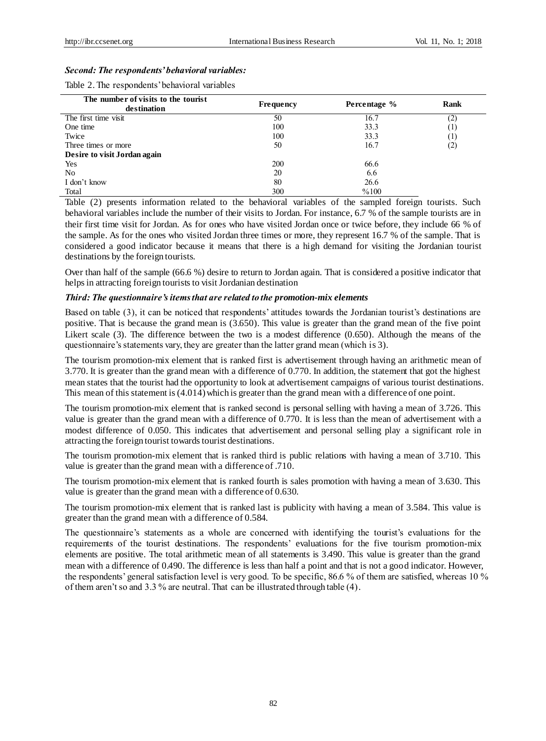#### *Second: The respondents' behavioral variables:*

Table 2. The respondents' behavioral variables

| The number of visits to the tourist | Frequency | Percentage % | Rank                      |
|-------------------------------------|-----------|--------------|---------------------------|
| destination                         |           |              |                           |
| The first time visit                | 50        | 16.7         | (2,                       |
| One time                            | 100       | 33.3         | $\lfloor \cdot \rfloor$   |
| Twice                               | 100       | 33.3         | $\lfloor \, 1 \, \rfloor$ |
| Three times or more                 | 50        | 16.7         | $\left( 2\right)$         |
| Desire to visit Jordan again        |           |              |                           |
| Yes                                 | 200       | 66.6         |                           |
| No                                  | 20        | 6.6          |                           |
| I don't know                        | 80        | 26.6         |                           |
| Total                               | 300       | %100         |                           |

Table (2) presents information related to the behavioral variables of the sampled foreign tourists. Such behavioral variables include the number of their visits to Jordan. For instance, 6.7 % of the sample tourists are in their first time visit for Jordan. As for ones who have visited Jordan once or twice before, they include 66 % of the sample. As for the ones who visited Jordan three times or more, they represent 16.7 % of the sample. That is considered a good indicator because it means that there is a high demand for visiting the Jordanian tourist destinations by the foreign tourists.

Over than half of the sample (66.6 %) desire to return to Jordan again. That is considered a positive indicator that helps in attracting foreign tourists to visit Jordanian destination

#### *Third: The questionnaire's items that are related to the promotion-mix elements*

Based on table (3), it can be noticed that respondents' attitudes towards the Jordanian tourist's destinations are positive. That is because the grand mean is (3.650). This value is greater than the grand mean of the five point Likert scale (3). The difference between the two is a modest difference (0.650). Although the means of the questionnaire's statements vary, they are greater than the latter grand mean (which is 3).

The tourism promotion-mix element that is ranked first is advertisement through having an arithmetic mean of 3.770. It is greater than the grand mean with a difference of 0.770. In addition, the statement that got the highest mean states that the tourist had the opportunity to look at advertisement campaigns of various tourist destinations. This mean of this statement is (4.014) which is greater than the grand mean with a difference of one point.

The tourism promotion-mix element that is ranked second is personal selling with having a mean of 3.726. This value is greater than the grand mean with a difference of 0.770. It is less than the mean of advertisement with a modest difference of 0.050. This indicates that advertisement and personal selling play a significant role in attracting the foreign tourist towards tourist destinations.

The tourism promotion-mix element that is ranked third is public relations with having a mean of 3.710. This value is greater than the grand mean with a difference of .710.

The tourism promotion-mix element that is ranked fourth is sales promotion with having a mean of 3.630. This value is greater than the grand mean with a difference of 0.630.

The tourism promotion-mix element that is ranked last is publicity with having a mean of 3.584. This value is greater than the grand mean with a difference of 0.584.

The questionnaire's statements as a whole are concerned with identifying the tourist's evaluations for the requirements of the tourist destinations. The respondents' evaluations for the five tourism promotion-mix elements are positive. The total arithmetic mean of all statements is 3.490. This value is greater than the grand mean with a difference of 0.490. The difference is less than half a point and that is not a good indicator. However, the respondents' general satisfaction level is very good. To be specific, 86.6 % of them are satisfied, whereas 10 % of them aren't so and 3.3 % are neutral. That can be illustrated through table (4).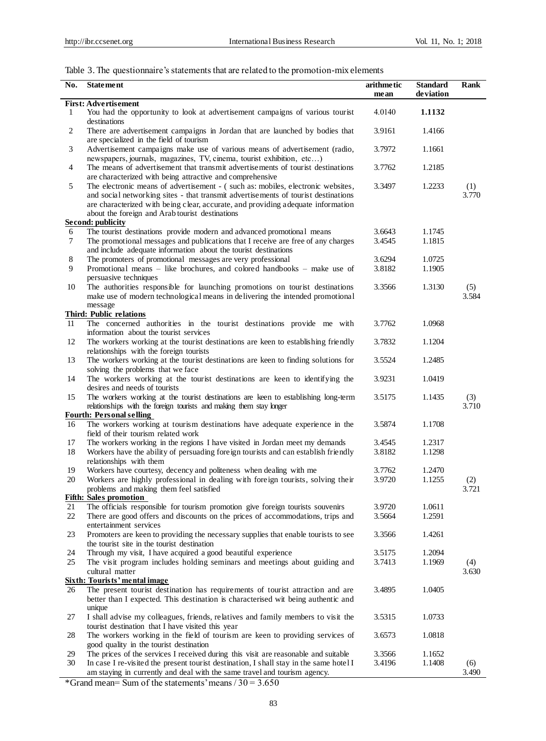l,

# Table 3. The questionnaire's statements that are related to the promotion-mix elements

| No.            | <b>Statement</b>                                                                                                                                                                                                                                                                                             | arithmetic<br>mean | <b>Standard</b><br>de viation | Rank         |
|----------------|--------------------------------------------------------------------------------------------------------------------------------------------------------------------------------------------------------------------------------------------------------------------------------------------------------------|--------------------|-------------------------------|--------------|
|                | <b>First: Advertisement</b>                                                                                                                                                                                                                                                                                  |                    |                               |              |
| 1              | You had the opportunity to look at advertisement campaigns of various tourist<br>destinations                                                                                                                                                                                                                | 4.0140             | 1.1132                        |              |
| 2              | There are advertisement campaigns in Jordan that are launched by bodies that<br>are specialized in the field of tourism                                                                                                                                                                                      | 3.9161             | 1.4166                        |              |
| 3              | Advertisement campaigns make use of various means of advertisement (radio,<br>newspapers, journals, magazines, TV, cinema, tourist exhibition, etc)                                                                                                                                                          | 3.7972             | 1.1661                        |              |
| $\overline{4}$ | The means of advertisement that transmit advertisements of tourist destinations<br>are characterized with being attractive and comprehensive                                                                                                                                                                 | 3.7762             | 1.2185                        |              |
| 5              | The electronic means of advertisement - (such as: mobiles, electronic websites,<br>and social networking sites - that transmit advertisements of tourist destinations<br>are characterized with being clear, accurate, and providing adequate information<br>about the foreign and Arab tourist destinations | 3.3497             | 1.2233                        | (1)<br>3.770 |
|                | <b>Second: publicity</b>                                                                                                                                                                                                                                                                                     |                    |                               |              |
| 6              | The tourist destinations provide modern and advanced promotional means                                                                                                                                                                                                                                       | 3.6643             | 1.1745                        |              |
| 7              | The promotional messages and publications that I receive are free of any charges<br>and include adequate information about the tourist destinations                                                                                                                                                          | 3.4545             | 1.1815                        |              |
| 8              | The promoters of promotional messages are very professional                                                                                                                                                                                                                                                  | 3.6294             | 1.0725                        |              |
| 9              | Promotional means – like brochures, and colored handbooks – make use of<br>persuasive techniques                                                                                                                                                                                                             | 3.8182             | 1.1905                        |              |
| 10             | The authorities responsible for launching promotions on tourist destinations<br>make use of modern technological means in delivering the intended promotional                                                                                                                                                | 3.3566             | 1.3130                        | (5)<br>3.584 |
|                | message                                                                                                                                                                                                                                                                                                      |                    |                               |              |
|                | <b>Third: Public relations</b>                                                                                                                                                                                                                                                                               |                    |                               |              |
| 11             | The concerned authorities in the tourist destinations provide me with<br>information about the tourist services                                                                                                                                                                                              | 3.7762             | 1.0968                        |              |
| 12             | The workers working at the tourist destinations are keen to establishing friendly<br>relationships with the foreign tourists                                                                                                                                                                                 | 3.7832             | 1.1204                        |              |
| 13             | The workers working at the tourist destinations are keen to finding solutions for<br>solving the problems that we face                                                                                                                                                                                       | 3.5524             | 1.2485                        |              |
| 14             | The workers working at the tourist destinations are keen to identifying the<br>desires and needs of tourists                                                                                                                                                                                                 | 3.9231             | 1.0419                        |              |
| 15             | The workers working at the tourist destinations are keen to establishing long-term<br>relationships with the foreign tourists and making them stay longer                                                                                                                                                    | 3.5175             | 1.1435                        | (3)<br>3.710 |
|                | <b>Fourth: Personal selling</b>                                                                                                                                                                                                                                                                              |                    |                               |              |
| 16             | The workers working at tourism destinations have adequate experience in the<br>field of their tourism related work                                                                                                                                                                                           | 3.5874             | 1.1708                        |              |
| 17             | The workers working in the regions I have visited in Jordan meet my demands                                                                                                                                                                                                                                  | 3.4545             | 1.2317                        |              |
| 18             | Workers have the ability of persuading foreign tourists and can establish friendly                                                                                                                                                                                                                           | 3.8182             | 1.1298                        |              |
|                | relationships with them                                                                                                                                                                                                                                                                                      |                    |                               |              |
| 19             | Workers have courtesy, decency and politeness when dealing with me                                                                                                                                                                                                                                           | 3.7762             | 1.2470                        |              |
| 20             | Workers are highly professional in dealing with foreign tourists, solving their                                                                                                                                                                                                                              | 3.9720             | 1.1255                        | (2)          |
|                | problems and making them feel satisfied<br><b>Fifth: Sales promotion</b>                                                                                                                                                                                                                                     |                    |                               | 3.721        |
| 21             | The officials responsible for tourism promotion give foreign tourists souvenirs                                                                                                                                                                                                                              | 3.9720             | 1.0611                        |              |
| 22             | There are good offers and discounts on the prices of accommodations, trips and<br>entertainment services                                                                                                                                                                                                     | 3.5664             | 1.2591                        |              |
| 23             | Promoters are keen to providing the necessary supplies that enable tourists to see<br>the tourist site in the tourist destination                                                                                                                                                                            | 3.3566             | 1.4261                        |              |
| 24             | Through my visit, I have acquired a good beautiful experience                                                                                                                                                                                                                                                | 3.5175             | 1.2094                        |              |
| 25             | The visit program includes holding seminars and meetings about guiding and                                                                                                                                                                                                                                   | 3.7413             | 1.1969                        | (4)          |
|                | cultural matter<br><b>Sixth: Tourists' mental image</b>                                                                                                                                                                                                                                                      |                    |                               | 3.630        |
| 26             | The present tourist destination has requirements of tourist attraction and are                                                                                                                                                                                                                               | 3.4895             | 1.0405                        |              |
|                | better than I expected. This destination is characterised wit being authentic and<br>unique                                                                                                                                                                                                                  |                    |                               |              |
| 27             | I shall advise my colleagues, friends, relatives and family members to visit the                                                                                                                                                                                                                             | 3.5315             | 1.0733                        |              |
|                | tourist destination that I have visited this year                                                                                                                                                                                                                                                            |                    |                               |              |
| 28             | The workers working in the field of tourism are keen to providing services of<br>good quality in the tourist destination                                                                                                                                                                                     | 3.6573             | 1.0818                        |              |
| 29             | The prices of the services I received during this visit are reasonable and suitable                                                                                                                                                                                                                          | 3.3566             | 1.1652                        |              |
| 30             | In case I re-visited the present tourist destination, I shall stay in the same hotel I                                                                                                                                                                                                                       | 3.4196             | 1.1408                        | (6)          |
|                | am staying in currently and deal with the same travel and tourism agency.                                                                                                                                                                                                                                    |                    |                               | 3.490        |

\*Grand mean= Sum of the statements' means  $/30 = 3.650$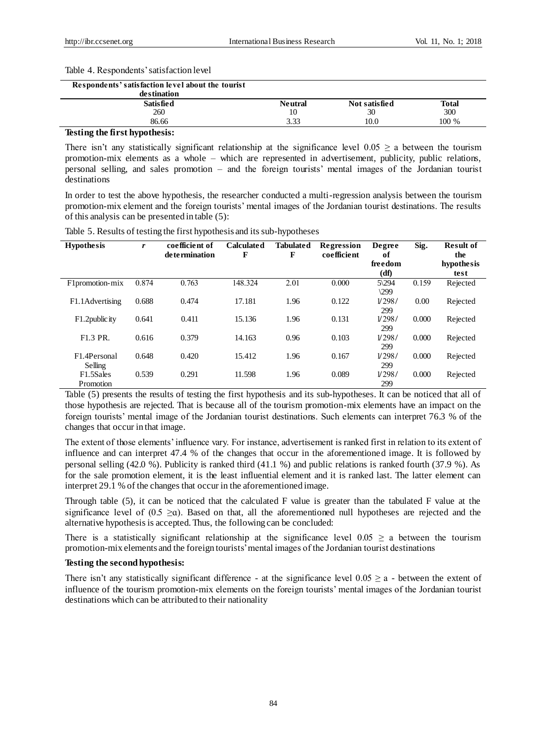#### Table 4. Respondents' satisfaction level

| Respondents' satisfaction level about the tourist<br>destination |                |               |       |
|------------------------------------------------------------------|----------------|---------------|-------|
| <b>Satisfied</b>                                                 | <b>Neutral</b> | Not satisfied | Total |
| 260                                                              | 10             | 30            | 300   |
| 86.66                                                            | 3.33           | 10.0          | 100 % |
| $\mathbf{r}$<br>$\sim$<br>$\sim$ $\sim$                          |                |               |       |

#### **Testing the first hypothesis:**

There isn't any statistically significant relationship at the significance level  $0.05 \ge a$  between the tourism promotion-mix elements as a whole – which are represented in advertisement, publicity, public relations, personal selling, and sales promotion – and the foreign tourists' mental images of the Jordanian tourist destinations

In order to test the above hypothesis, the researcher conducted a multi-regression analysis between the tourism promotion-mix element and the foreign tourists' mental images of the Jordanian tourist destinations. The results of this analysis can be presented in table (5):

| <b>Hypothesis</b>       | r     | coefficient of<br>de termination | <b>Calculated</b><br>F | <b>Tabulated</b><br>F | Regression<br>coefficient | Degree<br>of<br>freedom<br>(df) | Sig.  | <b>Result of</b><br>the<br>hypothesis<br>test |
|-------------------------|-------|----------------------------------|------------------------|-----------------------|---------------------------|---------------------------------|-------|-----------------------------------------------|
| F1promotion-mix         | 0.874 | 0.763                            | 148.324                | 2.01                  | 0.000                     | $5\langle 294$<br>$\sqrt{299}$  | 0.159 | Rejected                                      |
| F1.1Advertising         | 0.688 | 0.474                            | 17.181                 | 1.96                  | 0.122                     | 1/298/<br>299                   | 0.00  | Rejected                                      |
| F1.2 public ity         | 0.641 | 0.411                            | 15.136                 | 1.96                  | 0.131                     | 1/298/<br>299                   | 0.000 | Rejected                                      |
| F1.3 PR.                | 0.616 | 0.379                            | 14.163                 | 0.96                  | 0.103                     | 1/298/<br>299                   | 0.000 | Rejected                                      |
| F1.4Personal<br>Selling | 0.648 | 0.420                            | 15.412                 | 1.96                  | 0.167                     | 1/298/<br>299                   | 0.000 | Rejected                                      |
| F1.5Sales<br>Promotion  | 0.539 | 0.291                            | 11.598                 | 1.96                  | 0.089                     | 1/298/<br>299                   | 0.000 | Rejected                                      |

Table 5. Results of testing the first hypothesis and its sub-hypotheses

Table (5) presents the results of testing the first hypothesis and its sub-hypotheses. It can be noticed that all of those hypothesis are rejected. That is because all of the tourism promotion-mix elements have an impact on the foreign tourists' mental image of the Jordanian tourist destinations. Such elements can interpret 76.3 % of the changes that occur in that image.

The extent of those elements' influence vary. For instance, advertisement is ranked first in relation to its extent of influence and can interpret 47.4 % of the changes that occur in the aforementioned image. It is followed by personal selling (42.0 %). Publicity is ranked third (41.1 %) and public relations is ranked fourth (37.9 %). As for the sale promotion element, it is the least influential element and it is ranked last. The latter element can interpret 29.1 % of the changes that occur in the aforementioned image.

Through table (5), it can be noticed that the calculated F value is greater than the tabulated F value at the significance level of  $(0.5 \ge a)$ . Based on that, all the aforementioned null hypotheses are rejected and the alternative hypothesis is accepted. Thus, the following can be concluded:

There is a statistically significant relationship at the significance level  $0.05 \ge a$  between the tourism promotion-mix elements and the foreign tourists' mental images of the Jordanian tourist destinations

# **Testing the second hypothesis:**

There isn't any statistically significant difference - at the significance level  $0.05 \ge a$  - between the extent of influence of the tourism promotion-mix elements on the foreign tourists' mental images of the Jordanian tourist destinations which can be attributed to their nationality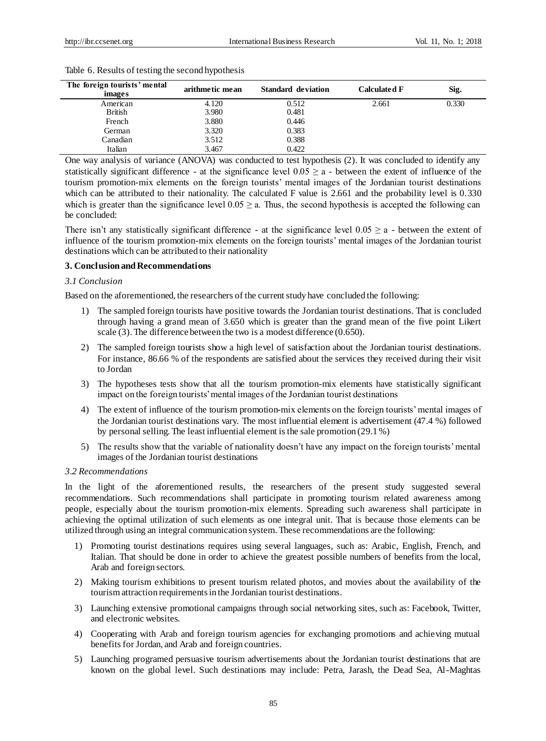| The foreign tourists' mental<br>images | arithmetic mean | <b>Standard deviation</b> | <b>Calculated F</b> | Sig.  |
|----------------------------------------|-----------------|---------------------------|---------------------|-------|
| American                               | 4.120           | 0.512                     | 2.661               | 0.330 |
| <b>British</b>                         | 3.980           | 0.481                     |                     |       |
| French                                 | 3.880           | 0.446                     |                     |       |
| German                                 | 3.320           | 0.383                     |                     |       |
| Canadian                               | 3.512           | 0.388                     |                     |       |
| Italian                                | 3.467           | 0.422                     |                     |       |

Table 6. Results of testing the second hypothesis

One way analysis of variance (ANOVA) was conducted to test hypothesis (2). It was concluded to identify any statistically significant difference - at the significance level  $0.05 \ge a$  - between the extent of influence of the tourism promotion-mix elements on the foreign tourists' mental images of the Jordanian tourist destinations which can be attributed to their nationality. The calculated F value is 2.661 and the probability level is 0.330 which is greater than the significance level  $0.05 \ge a$ . Thus, the second hypothesis is accepted the following can be concluded:

There isn't any statistically significant difference - at the significance level  $0.05 \ge a$  - between the extent of influence of the tourism promotion-mix elements on the foreign tourists' mental images of the Jordanian tourist destinations which can be attributed to their nationality

#### **3. Conclusion and Recommendations**

#### *3.1 Conclusion*

Based on the aforementioned, the researchers of the current study have concluded the following:

- 1) The sampled foreign tourists have positive towards the Jordanian tourist destinations. That is concluded through having a grand mean of 3.650 which is greater than the grand mean of the five point Likert scale (3). The difference between the two is a modest difference (0.650).
- 2) The sampled foreign tourists show a high level of satisfaction about the Jordanian tourist destinations. For instance, 86.66 % of the respondents are satisfied about the services they received during their visit to Jordan
- 3) The hypotheses tests show that all the tourism promotion-mix elements have statistically significant impact on the foreign tourists' mental images of the Jordanian tourist destinations
- 4) The extent of influence of the tourism promotion-mix elements on the foreign tourists' mental images of the Jordanian tourist destinations vary. The most influential element is advertisement (47.4 %) followed by personal selling. The least influential element is the sale promotion (29.1 %)
- 5) The results show that the variable of nationality doesn't have any impact on the foreign tourists' mental images of the Jordanian tourist destinations

# *3.2 Recommendations*

In the light of the aforementioned results, the researchers of the present study suggested several recommendations. Such recommendations shall participate in promoting tourism related awareness among people, especially about the tourism promotion-mix elements. Spreading such awareness shall participate in achieving the optimal utilization of such elements as one integral unit. That is because those elements can be utilized through using an integral communication system. These recommendations are the following:

- 1) Promoting tourist destinations requires using several languages, such as: Arabic, English, French, and Italian. That should be done in order to achieve the greatest possible numbers of benefits from the local, Arab and foreign sectors.
- 2) Making tourism exhibitions to present tourism related photos, and movies about the availability of the tourism attraction requirements in the Jordanian tourist destinations.
- 3) Launching extensive promotional campaigns through social networking sites, such as: Facebook, Twitter, and electronic websites.
- 4) Cooperating with Arab and foreign tourism agencies for exchanging promotions and achieving mutual benefits for Jordan, and Arab and foreign countries.
- 5) Launching programed persuasive tourism advertisements about the Jordanian tourist destinations that are known on the global level. Such destinations may include: Petra, Jarash, the Dead Sea, Al-Maghtas